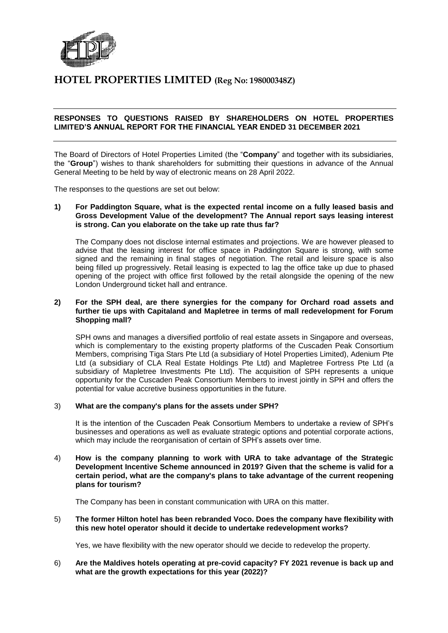

## **HOTEL PROPERTIES LIMITED (Reg No: 198000348Z)**

### **RESPONSES TO QUESTIONS RAISED BY SHAREHOLDERS ON HOTEL PROPERTIES LIMITED'S ANNUAL REPORT FOR THE FINANCIAL YEAR ENDED 31 DECEMBER 2021**

The Board of Directors of Hotel Properties Limited (the "**Company**" and together with its subsidiaries, the "**Group**") wishes to thank shareholders for submitting their questions in advance of the Annual General Meeting to be held by way of electronic means on 28 April 2022.

The responses to the questions are set out below:

#### **1) For Paddington Square, what is the expected rental income on a fully leased basis and Gross Development Value of the development? The Annual report says leasing interest is strong. Can you elaborate on the take up rate thus far?**

The Company does not disclose internal estimates and projections. We are however pleased to advise that the leasing interest for office space in Paddington Square is strong, with some signed and the remaining in final stages of negotiation. The retail and leisure space is also being filled up progressively. Retail leasing is expected to lag the office take up due to phased opening of the project with office first followed by the retail alongside the opening of the new London Underground ticket hall and entrance.

#### **2) For the SPH deal, are there synergies for the company for Orchard road assets and further tie ups with Capitaland and Mapletree in terms of mall redevelopment for Forum Shopping mall?**

SPH owns and manages a diversified portfolio of real estate assets in Singapore and overseas, which is complementary to the existing property platforms of the Cuscaden Peak Consortium Members, comprising Tiga Stars Pte Ltd (a subsidiary of Hotel Properties Limited), Adenium Pte Ltd (a subsidiary of CLA Real Estate Holdings Pte Ltd) and Mapletree Fortress Pte Ltd (a subsidiary of Mapletree Investments Pte Ltd). The acquisition of SPH represents a unique opportunity for the Cuscaden Peak Consortium Members to invest jointly in SPH and offers the potential for value accretive business opportunities in the future.

#### 3) **What are the company's plans for the assets under SPH?**

It is the intention of the Cuscaden Peak Consortium Members to undertake a review of SPH's businesses and operations as well as evaluate strategic options and potential corporate actions, which may include the reorganisation of certain of SPH's assets over time.

4) **How is the company planning to work with URA to take advantage of the Strategic Development Incentive Scheme announced in 2019? Given that the scheme is valid for a certain period, what are the company's plans to take advantage of the current reopening plans for tourism?**

The Company has been in constant communication with URA on this matter.

5) **The former Hilton hotel has been rebranded Voco. Does the company have flexibility with this new hotel operator should it decide to undertake redevelopment works?** 

Yes, we have flexibility with the new operator should we decide to redevelop the property.

#### 6) **Are the Maldives hotels operating at pre-covid capacity? FY 2021 revenue is back up and what are the growth expectations for this year (2022)?**